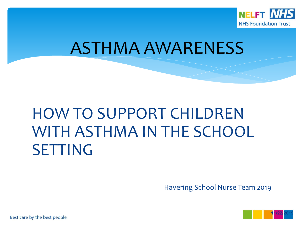

#### ASTHMA AWARENESS

## HOW TO SUPPORT CHILDREN WITH ASTHMA IN THE SCHOOL SETTING

Havering School Nurse Team 2019

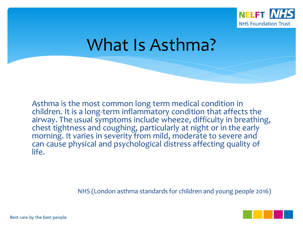

#### What Is Asthma?

Asthma is the most common long term medical condition in children. It is a long-term inflammatory condition that affects the airway. The usual symptoms include wheeze, difficulty in breathing, chest tightness and coughing, particularly at night or in the early morning. It varies in severity from mild, moderate to severe and can cause physical and psychological distress affecting quality of life.

NHS (London asthma standards for children and young people 2016)

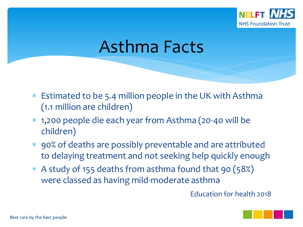

#### Asthma Facts

- Estimated to be 5.4 million people in the UK with Asthma (1.1 million are children)
- 1,200 people die each year from Asthma (20-40 will be children)
- 90% of deaths are possibly preventable and are attributed to delaying treatment and not seeking help quickly enough
- A study of 155 deaths from asthma found that 90 (58%) were classed as having mild-moderate asthma

Education for health 2018

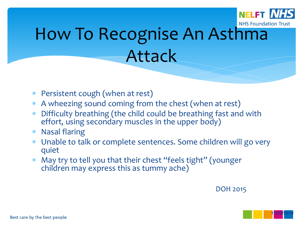

# How To Recognise An Asthma Attack

- Persistent cough (when at rest)
- A wheezing sound coming from the chest (when at rest)
- Difficulty breathing (the child could be breathing fast and with effort, using secondary muscles in the upper body)
- Nasal flaring
- Unable to talk or complete sentences. Some children will go very quiet
- May try to tell you that their chest "feels tight" (younger children may express this as tummy ache)

DOH 2015

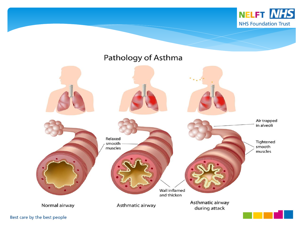

#### Pathology of Asthma

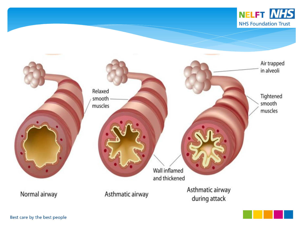



Normal airway



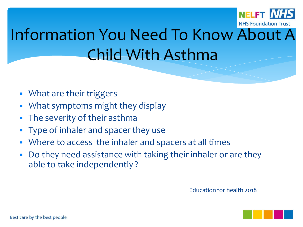

# Information You Need To Know About A Child With Asthma

- What are their triggers
- What symptoms might they display
- The severity of their asthma
- Type of inhaler and spacer they use
- Where to access the inhaler and spacers at all times
- Do they need assistance with taking their inhaler or are they able to take independently ?

Education for health 2018

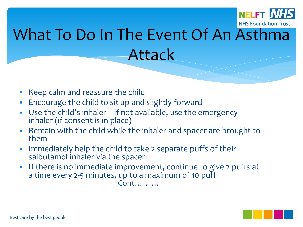

# What To Do In The Event Of An Asthma Attack

- Keep calm and reassure the child
- Encourage the child to sit up and slightly forward
- Use the child's inhaler if not available, use the emergency inhaler (if consent is in place)
- Remain with the child while the inhaler and spacer are brought to them
- Immediately help the child to take 2 separate puffs of their salbutamol inhaler via the spacer
- If there is no immediate improvement, continue to give 2 puffs at a time every 2-5 minutes, up to a maximum of 10 puff

Cont………

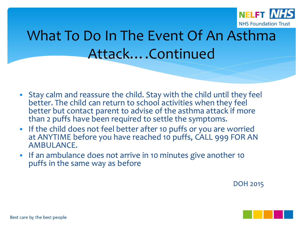

#### What To Do In The Event Of An Asthma Attack….Continued

- Stay calm and reassure the child. Stay with the child until they feel better. The child can return to school activities when they feel better but contact parent to advise of the asthma attack if more than 2 puffs have been required to settle the symptoms.
- **If the child does not feel better after 10 puffs or you are worried** at ANYTIME before you have reached 10 puffs, CALL 999 FOR AN AMBULANCE.
- If an ambulance does not arrive in 10 minutes give another 10 puffs in the same way as before

DOH 2015

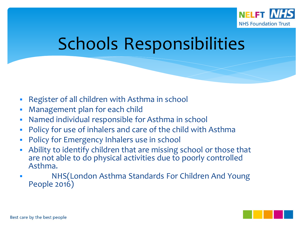

## Schools Responsibilities

- Register of all children with Asthma in school
- Management plan for each child
- Named individual responsible for Asthma in school
- Policy for use of inhalers and care of the child with Asthma
- Policy for Emergency Inhalers use in school
- Ability to identify children that are missing school or those that are not able to do physical activities due to poorly controlled Asthma.
- NHS(London Asthma Standards For Children And Young People 2016)

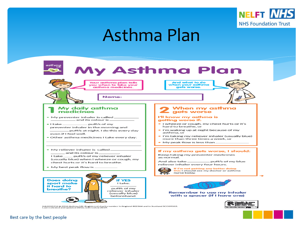

#### Asthma Plan



HA1010216 @ 2016 Asthma UK. Registered charity number in England 802364 and in Scotland SCO39322.<br>Last reviewed and updated 2016, noxt review 2019.

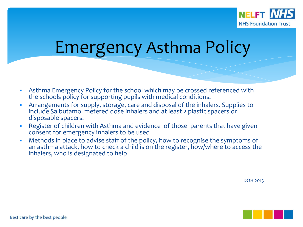

#### Emergency Asthma Policy

- Asthma Emergency Policy for the school which may be crossed referenced with the schools policy for supporting pupils with medical conditions.
- Arrangements for supply, storage, care and disposal of the inhalers. Supplies to include Salbutamol metered dose inhalers and at least 2 plastic spacers or disposable spacers.
- Register of children with Asthma and evidence of those parents that have given consent for emergency inhalers to be used
- Methods in place to advise staff of the policy, how to recognise the symptoms of an asthma attack, how to check a child is on the register, how/where to access the inhalers, who is designated to help

DOH 2015

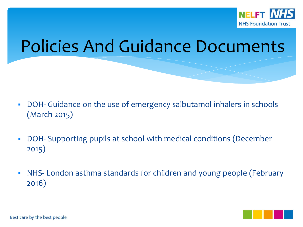

#### Policies And Guidance Documents

- DOH- Guidance on the use of emergency salbutamol inhalers in schools (March 2015)
- DOH- Supporting pupils at school with medical conditions (December 2015)
- NHS- London asthma standards for children and young people (February 2016)